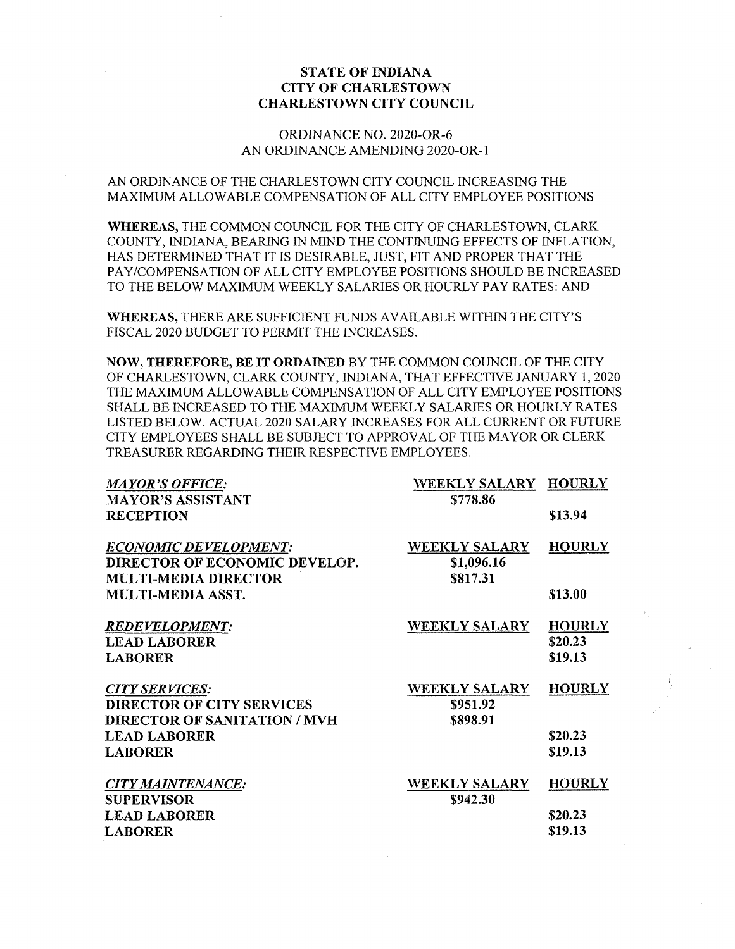## **STATE OF INDIANA CITY OF CHARLESTOWN CHARLESTOWN CITY COUNCIL**

### ORDINANCE NO. 2020-OR-6 AN ORDINANCE AMENDING 2020-OR-1

# AN ORDINANCE OF THE CHARLESTOWN CITY COUNCIL INCREASING THE MAXIMUM ALLOWABLE COMPENSATION OF ALL CITY EMPLOYEE POSITIONS

**WHEREAS,** THE COMMON COUNCIL FOR THE CITY OF CHARLESTOWN, CLARK COUNTY, INDIANA, BEARING IN MIND THE CONTINUING EFFECTS OF INFLATION, HAS DETERMINED THAT IT IS DESIRABLE, JUST, FIT AND PROPER THAT THE PAY/COMPENSATION OF ALL CITY EMPLOYEE POSITIONS SHOULD BE INCREASED TO THE BELOW MAXIMUM WEEKLY SALARIES OR HOURLY PAY RATES: AND

**WHEREAS,** THERE ARE SUFFICIENT FUNDS AVAILABLE WITHIN THE CITY'S FISCAL 2020 BUDGET TO PERMIT THE INCREASES.

**NOW, THEREFORE, BE IT ORDAINED** BY THE COMMON COUNCIL OF THE CITY OF CHARLESTOWN, CLARK COUNTY, INDIANA, THAT EFFECTIVE JANUARY 1, 2020 THE MAXIMUM ALLOWABLE COMPENSATION OF ALL CITY EMPLOYEE POSITIONS SFIALL BE INCREASED TO THE MAXIMUM WEEKLY SALARIES OR HOURLY RATES LISTED BELOW. ACTUAL 2020 SALARY INCREASES FOR ALL CURRENT OR FUTURE CITY EMPLOYEES SHALL BE SUBJECT TO APPROVAL OF THE MAYOR OR CLERK TREASURER REGARDING THEIR RESPECTIVE EMPLOYEES.

| <b>MAYOR'S OFFICE:</b>              | WEEKLY SALARY HOURLY |               |
|-------------------------------------|----------------------|---------------|
| <b>MAYOR'S ASSISTANT</b>            | \$778.86             |               |
| <b>RECEPTION</b>                    |                      | \$13.94       |
| <b>ECONOMIC DEVELOPMENT:</b>        | <b>WEEKLY SALARY</b> | <b>HOURLY</b> |
| DIRECTOR OF ECONOMIC DEVELOP.       | \$1,096.16           |               |
| <b>MULTI-MEDIA DIRECTOR</b>         | \$817.31             |               |
| <b>MULTI-MEDIA ASST.</b>            |                      | \$13.00       |
| <b>REDEVELOPMENT:</b>               | <b>WEEKLY SALARY</b> | <b>HOURLY</b> |
| <b>LEAD LABORER</b>                 |                      | \$20.23       |
| <b>LABORER</b>                      |                      | \$19.13       |
| <b>CITY SERVICES:</b>               | <b>WEEKLY SALARY</b> | <b>HOURLY</b> |
| <b>DIRECTOR OF CITY SERVICES</b>    | \$951.92             |               |
| <b>DIRECTOR OF SANITATION / MVH</b> | \$898.91             |               |
| <b>LEAD LABORER</b>                 |                      | \$20.23       |
| <b>LABORER</b>                      |                      | \$19.13       |
| <b>CITY MAINTENANCE:</b>            | <b>WEEKLY SALARY</b> | <b>HOURLY</b> |
| <b>SUPERVISOR</b>                   | \$942.30             |               |
| <b>LEAD LABORER</b>                 |                      | \$20.23       |
| <b>LABORER</b>                      |                      | \$19.13       |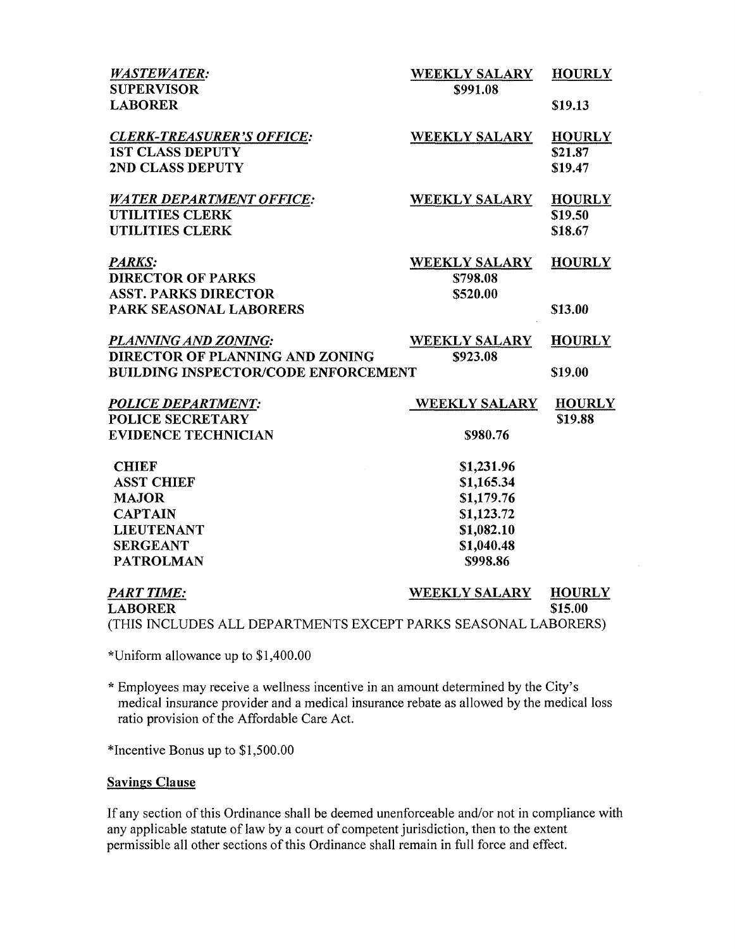| <b>WASTEWATER:</b><br><b>SUPERVISOR</b>                        | <b>WEEKLY SALARY</b><br>\$991.08 | <b>HOURLY</b> |
|----------------------------------------------------------------|----------------------------------|---------------|
| <b>LABORER</b>                                                 |                                  | \$19.13       |
| <b>CLERK-TREASURER'S OFFICE:</b>                               | <b>WEEKLY SALARY</b>             | <b>HOURLY</b> |
| <b>1ST CLASS DEPUTY</b>                                        |                                  | \$21.87       |
| 2ND CLASS DEPUTY                                               |                                  | \$19.47       |
| <b>WATER DEPARTMENT OFFICE:</b>                                | <b>WEEKLY SALARY</b>             | <b>HOURLY</b> |
| <b>UTILITIES CLERK</b>                                         |                                  | \$19.50       |
| <b>UTILITIES CLERK</b>                                         |                                  | \$18.67       |
| <b>PARKS:</b>                                                  | <b>WEEKLY SALARY</b>             | <b>HOURLY</b> |
| <b>DIRECTOR OF PARKS</b>                                       | \$798.08                         |               |
| <b>ASST. PARKS DIRECTOR</b>                                    | \$520.00                         |               |
| PARK SEASONAL LABORERS                                         |                                  | \$13.00       |
| PLANNING AND ZONING:                                           | <b>WEEKLY SALARY</b>             | <b>HOURLY</b> |
| DIRECTOR OF PLANNING AND ZONING                                | \$923.08                         |               |
| <b>BUILDING INSPECTOR/CODE ENFORCEMENT</b>                     |                                  | \$19.00       |
| <b>POLICE DEPARTMENT:</b>                                      | <b>WEEKLY SALARY</b>             | <b>HOURLY</b> |
| <b>POLICE SECRETARY</b>                                        |                                  | <b>S19.88</b> |
| <b>EVIDENCE TECHNICIAN</b>                                     | \$980.76                         |               |
| <b>CHIEF</b>                                                   | \$1,231.96                       |               |
| <b>ASST CHIEF</b>                                              | \$1,165.34                       |               |
| <b>MAJOR</b>                                                   | \$1,179.76                       |               |
| <b>CAPTAIN</b>                                                 | \$1,123.72                       |               |
| <b>LIEUTENANT</b>                                              | \$1,082.10                       |               |
| <b>SERGEANT</b>                                                | \$1,040.48                       |               |
| <b>PATROLMAN</b>                                               | \$998.86                         |               |
| <b>PART TIME:</b>                                              | <b>WEEKLY SALARY</b>             | <b>HOURLY</b> |
| <b>LABORER</b>                                                 |                                  | \$15.00       |
| (THIS INCLUDES ALL DEPARTMENTS EXCEPT PARKS SEASONAL LABORERS) |                                  |               |
|                                                                |                                  |               |

\*Uniform allowance up to \$1,400.00

\* Employees may receive a wellness incentive in an amount determined by the City's medical insurance provider and a medical insurance rebate as allowed by the medical loss ratio provision of the Affordable Care Act.

\*Incentive Bonus up to \$1,500.00

#### **Savings Clause**

If any section of this Ordinance shall be deemed unenforceable and/or not in compliance with any applicable statute of law by a court of competent jurisdiction, then to the extent permissible all other sections of this Ordinance shall remain in full force and effect.